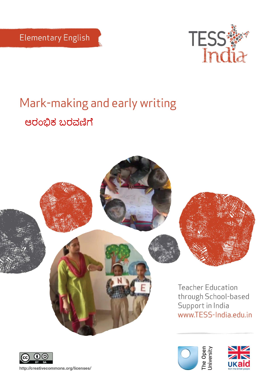

# Mark-making and early writing ಆರಂಭಿಕ ಬರವಣಿಗೆ







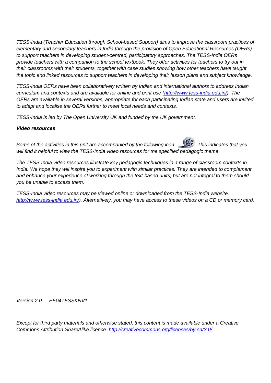*TESS-India (Teacher Education through School-based Support) aims to improve the classroom practices of elementary and secondary teachers in India through the provision of Open Educational Resources (OERs) to support teachers in developing student-centred, participatory approaches. The TESS-India OERs provide teachers with a companion to the school textbook. They offer activities for teachers to try out in their classrooms with their students, together with case studies showing how other teachers have taught the topic and linked resources to support teachers in developing their lesson plans and subject knowledge.* 

*TESS-India OERs have been collaboratively written by Indian and international authors to address Indian curriculum and contexts and are available for online and print use [\(http://www.tess-india.edu.in/\)](http://www.tess-india.edu.in/). The OERs are available in several versions, appropriate for each participating Indian state and users are invited to adapt and localise the OERs further to meet local needs and contexts.*

*TESS-India is led by The Open University UK and funded by the UK government.*

#### *Video resources*

*Some of the activities in this unit are accompanied by the following icon:*  $\binom{65}{6}$ . This indicates that you will find it helpful to view the TESS-India video resources for the specified pedagogic theme.

*The TESS-India video resources illustrate key pedagogic techniques in a range of classroom contexts in India. We hope they will inspire you to experiment with similar practices. They are intended to complement and enhance your experience of working through the text-based units, but are not integral to them should you be unable to access them.*

*TESS-India video resources may be viewed online or downloaded from the TESS-India website, [http://www.tess-india.edu.in/\)](http://www.tess-india.edu.in/). Alternatively, you may have access to these videos on a CD or memory card.* 

*Version 2.0 EE04TESSKNV1*

*Except for third party materials and otherwise stated, this content is made available under a Creative Commons Attribution-ShareAlike licence:<http://creativecommons.org/licenses/by-sa/3.0/>*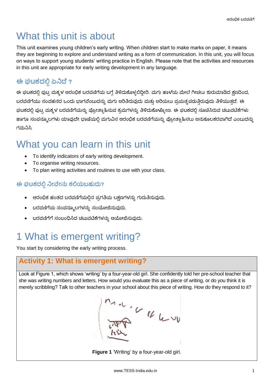### What this unit is about

This unit examines young children's early writing. When children start to make marks on paper, it means they are beginning to explore and understand writing as a form of communication. In this unit, you will focus on ways to support young students' writing practice in English. Please note that the activities and resources in this unit are appropriate for early writing development in any language.

### **ಈ ಘಟಕದ ಏನಿದೆ ?**

ಈ ಘಟಕದಲ್ಲಿ ಪುಟ್ನ ಮಕ್ಕಳ ಆರಂಭಿಕ ಬರವಣಿಗೆಯ ಬಗ್ಗೆ ತಿಳಿದುಕೊಳ್ಳಲಿದ್ದೀರಿ. ಮಗು ಹಾಳೆಯ ಮೇಲೆ ಗೀಚಲು ಶುರುಮಾಡಿದ ಕ್ಷಣದಿಂದ, ಬರವಣಿಗೆಯು ಸಂವಹನದ ಒಂದು ಭಾಗವೆಂಬುದನ್ನು ಮಗು ಅರಿತಿರುವುದು ಮತ್ತು ಅರಿಯಲು ಪ್ರಯತ್ನಪಡುತ್ತಿರುವುದು ತಿಳಿಯುತ್ತದೆ. ಈ ಘಟಕದಲ್ಲಿ ಪುಟ್ಟ ಮಕ್ಕಳ ಬರವಣಿಗೆಯನ್ನು ಪ್ರೋತ್ಸಾಹಿಸುವ ಕ್ರಮಗಳನ್ನು ತಿಳಿದುಕೊಳ್ಳೋಣ. ಈ ಘಟಕದಲ್ಲಿ ಸೂಚಿಸಿರುವ ಚಟುವಟಿಕೆಗಳು ಹಾಗೂ ಸಂಪನ್ಮೂಲಗಳು ಯಾವುದೇ ಭಾಷೆಯಲ್ಲಿ ಮಗುವಿನ ಆರಂಭಿಕ ಬರವಣಿಗೆಯನ್ನು ಪ್ರೋತ್ಸಾಹಿಸಲು ಅನುಕೂಲಕರವಾಗಿದೆ ಎಂಬುದನ್ನು ಗಮನಿಸಿ.

### What you can learn in this unit

- To identify indicators of early writing development.
- To organise writing resources.
- To plan writing activities and routines to use with your class.

#### **ಈ ಘಟಕದಲ್ಲಿನಿೀವೆೀನು ಕಲ್ಲಯಬಹುದು?**

- ಆರಂಭಿಕ ಹಂತದ ಬರವಣಿಗೆಯಲ್ಲಿನ ಪ್ರಗತಿಯ ಲಕ್ಷಣಗಳನ್ನು ಗುರುತಿಸುವುದು.
- ಬರವಣಿಗೆಯ ಸಂಪನ್ಮೂಲಗಳನ್ನು ಸಂಯೋಜಿಸುವುದು.
- ಬರವಣಿಗೆಗೆ ಸಂಬಂಧಿಸಿದ ಚಟುವಟಿಕೆಗಳನ್ನು ಆಯೋಜಿಸುವುದು.

# 1 What is emergent writing?

You start by considering the early writing process.

### **Activity 1: What is emergent writing?**

Look at Figure 1, which shows 'writing' by a four-year-old girl. She confidently told her pre-school teacher that she was writing numbers and letters. How would you evaluate this as a piece of writing, or do you think it is merely scribbling? Talk to other teachers in your school about this piece of writing. How do they respond to it?



**Figure 1** 'Writing' by a four-year-old girl.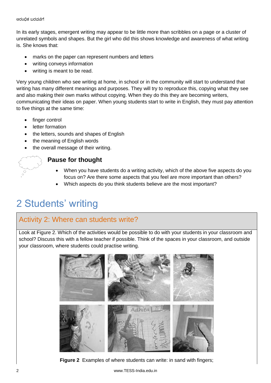In its early stages, emergent writing may appear to be little more than scribbles on a page or a cluster of unrelated symbols and shapes. But the girl who did this shows knowledge and awareness of what writing is. She knows that:

- marks on the paper can represent numbers and letters
- writing conveys information
- writing is meant to be read.

Very young children who see writing at home, in school or in the community will start to understand that writing has many different meanings and purposes. They will try to reproduce this, copying what they see and also making their own marks without copying. When they do this they are becoming writers, communicating their ideas on paper. When young students start to write in English, they must pay attention to five things at the same time:

- finger control
- letter formation
- the letters, sounds and shapes of English
- the meaning of English words
- the overall message of their writing.

#### **Pause for thought**

- When you have students do a writing activity, which of the above five aspects do you focus on? Are there some aspects that you feel are more important than others?
- Which aspects do you think students believe are the most important?

# 2 Students' writing

#### Activity 2: Where can students write?

Look at Figure 2. Which of the activities would be possible to do with your students in your classroom and school? Discuss this with a fellow teacher if possible. Think of the spaces in your classroom, and outside your classroom, where students could practise writing.



**Figure 2** Examples of where students can write: in sand with fingers;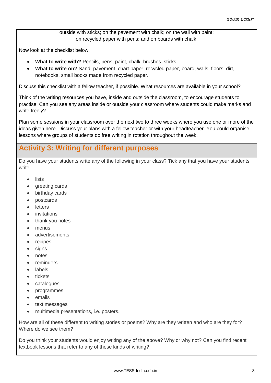outside with sticks; on the pavement with chalk; on the wall with paint; on recycled paper with pens; and on boards with chalk.

Now look at the checklist below.

- **What to write with?** Pencils, pens, paint, chalk, brushes, sticks.
- **What to write on?** Sand, pavement, chart paper, recycled paper, board, walls, floors, dirt, notebooks, small books made from recycled paper.

Discuss this checklist with a fellow teacher, if possible. What resources are available in your school?

Think of the writing resources you have, inside and outside the classroom, to encourage students to practise. Can you see any areas inside or outside your classroom where students could make marks and write freely?

Plan some sessions in your classroom over the next two to three weeks where you use one or more of the ideas given here. Discuss your plans with a fellow teacher or with your headteacher. You could organise lessons where groups of students do free writing in rotation throughout the week.

#### **Activity 3: Writing for different purposes**

Do you have your students write any of the following in your class? Tick any that you have your students write:

- lists
- greeting cards
- birthday cards
- postcards
- letters
- **•** invitations
- thank you notes
- menus
- advertisements
- recipes
- signs
- notes
- reminders
- labels
- tickets
- catalogues
- programmes
- emails
- text messages
- multimedia presentations, i.e. posters.

How are all of these different to writing stories or poems? Why are they written and who are they for? Where do we see them?

Do you think your students would enjoy writing any of the above? Why or why not? Can you find recent textbook lessons that refer to any of these kinds of writing?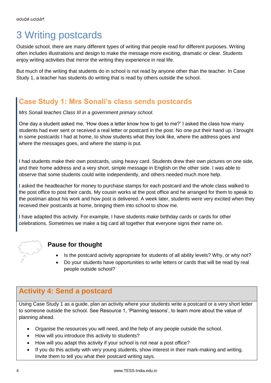## 3 Writing postcards

Outside school, there are many different types of writing that people read for different purposes. Writing often includes illustrations and design to make the message more exciting, dramatic or clear. Students enjoy writing activities that mirror the writing they experience in real life.

But much of the writing that students do in school is not read by anyone other than the teacher. In Case Study 1, a teacher has students do writing that is read by others outside the school.

### **Case Study 1: Mrs Sonali's class sends postcards**

*Mrs Sonali teaches Class III in a government primary school.* 

One day a student asked me, 'How does a letter know how to get to me?' I asked the class how many students had ever sent or received a real letter or postcard in the post. No one put their hand up. I brought in some postcards I had at home, to show students what they look like, where the address goes and where the messages goes, and where the stamp is put.

I had students make their own postcards, using heavy card. Students drew their own pictures on one side, and their home address and a very short, simple message in English on the other side. I was able to observe that some students could write independently, and others needed much more help.

I asked the headteacher for money to purchase stamps for each postcard and the whole class walked to the post office to post their cards. My cousin works at the post office and he arranged for them to speak to the postman about his work and how post is delivered. A week later, students were very excited when they received their postcards at home, bringing them into school to show me.

I have adapted this activity. For example, I have students make birthday cards or cards for other celebrations. Sometimes we make a big card all together that everyone signs their name on.



#### **Pause for thought**

- Is the postcard activity appropriate for students of all ability levels? Why, or why not?
- Do your students have opportunities to write letters or cards that will be read by real people outside school?

### **Activity 4: Send a postcard**

Using Case Study 1 as a guide, plan an activity where your students write a postcard or a very short letter to someone outside the school. See Resource 1, 'Planning lessons', to learn more about the value of planning ahead.

- Organise the resources you will need, and the help of any people outside the school.
- How will you introduce this activity to students?
- How will you adapt this activity if your school is not near a post office?
- If you do this activity with very young students, show interest in their mark-making and writing. Invite them to tell you what their postcard writing says.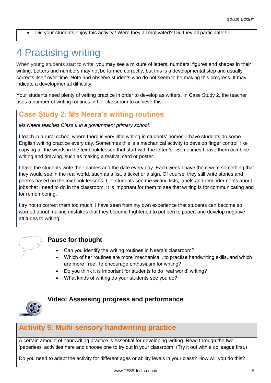Did your students enjoy this activity? Were they all motivated? Did they all participate?

### 4 Practising writing

When young students start to write, you may see a mixture of letters, numbers, figures and shapes in their writing. Letters and numbers may not be formed correctly, but this is a developmental step and usually corrects itself over time. Note and observe students who do not seem to be making this progress. It may indicate a developmental difficulty.

Your students need plenty of writing practice in order to develop as writers. In Case Study 2, the teacher uses a number of writing routines in her classroom to achieve this.

### **Case Study 2: Ms Neera's writing routines**

*Ms Neera teaches Class II in a government primary school.* 

I teach in a rural school where there is very little writing in students' homes. I have students do some English writing practice every day. Sometimes this is a mechanical activity to develop finger control, like copying all the words in the textbook lesson that start with the letter 's'. Sometimes I have them combine writing and drawing, such as making a festival card or poster.

I have the students write their names and the date every day. Each week I have them write something that they would see in the real world, such as a list, a ticket or a sign. Of course, they still write stories and poems based on the textbook lessons. I let students see me writing lists, labels and reminder notes about jobs that I need to do in the classroom. It is important for them to see that writing is for communicating and for remembering.

I try not to correct them too much. I have seen from my own experience that students can become so worried about making mistakes that they become frightened to put pen to paper, and develop negative attitudes to writing.



#### **Pause for thought**

- Can you identify the writing routines in Neera's classroom?
- Which of her routines are more 'mechanical', to practise handwriting skills, and which are more 'free', to encourage enthusiasm for writing?
- Do you think it is important for students to do 'real world' writing?
- What kinds of writing do your students see you do?



#### **Video: Assessing progress and performance**

#### **Activity 5: Multi-sensory handwriting practice**

A certain amount of handwriting practice is essential for developing writing. Read through the two 'paperless' activities here and choose one to try out in your classroom. (Try it out with a colleague first.)

Do you need to adapt the activity for different ages or ability levels in your class? How will you do this?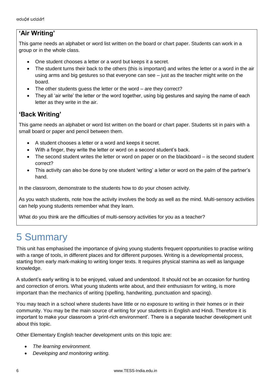#### **'Air Writing'**

This game needs an alphabet or word list written on the board or chart paper. Students can work in a group or in the whole class.

- One student chooses a letter or a word but keeps it a secret.
- The student turns their back to the others (this is important) and writes the letter or a word in the air using arms and big gestures so that everyone can see – just as the teacher might write on the board.
- The other students guess the letter or the word are they correct?
- They all 'air write' the letter or the word together, using big gestures and saying the name of each letter as they write in the air.

#### **'Back Writing'**

This game needs an alphabet or word list written on the board or chart paper. Students sit in pairs with a small board or paper and pencil between them.

- A student chooses a letter or a word and keeps it secret.
- With a finger, they write the letter or word on a second student's back.
- The second student writes the letter or word on paper or on the blackboard is the second student correct?
- This activity can also be done by one student 'writing' a letter or word on the palm of the partner's hand.

In the classroom, demonstrate to the students how to do your chosen activity.

As you watch students, note how the activity involves the body as well as the mind. Multi-sensory activities can help young students remember what they learn.

What do you think are the difficulties of multi-sensory activities for you as a teacher?

### 5 Summary

This unit has emphasised the importance of giving young students frequent opportunities to practise writing with a range of tools, in different places and for different purposes. Writing is a developmental process, starting from early mark-making to writing longer texts. It requires physical stamina as well as language knowledge.

A student's early writing is to be enjoyed, valued and understood. It should not be an occasion for hunting and correction of errors. What young students write about, and their enthusiasm for writing, is more important than the mechanics of writing (spelling, handwriting, punctuation and spacing).

You may teach in a school where students have little or no exposure to writing in their homes or in their community. You may be the main source of writing for your students in English and Hindi. Therefore it is important to make your classroom a 'print-rich environment'. There is a separate teacher development unit about this topic.

Other Elementary English teacher development units on this topic are:

- *The learning environment.*
- *Developing and monitoring writing.*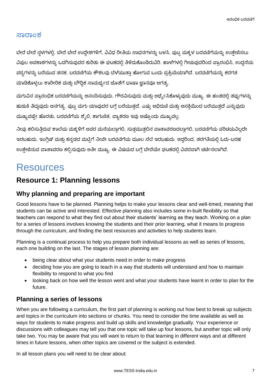#### **ಸಾರಾಾಂಶ**

ಬೇರೆ ಬೇರೆ ಸ್ಥಳಗಳಲ್ಲಿ, ಬೇರೆ ಬೇರೆ ಉದ್ದೇಶಗಳಿಗೆ, ವಿವಿಧ ರೀತಿಯ ಸಾಧನಗಳನ್ನು ಬಳಸಿ, ಪುಟ್ನ ಮಕ್ಕಳ ಬರವಣಿಗೆಯನ್ನು ಉತೇಜಿಸಲು ವಿಪುಲ ಅವಕಾಶಗಳನ್ನು ಒದಗಿಸುವುದರ ಕುರಿತು ಈ ಘಟಕದಲ್ಲಿ ತಿಳಿದುಕೊಂಡಿರುವಿರಿ. ಹಾಳೆಗಳಲ್ಲಿ ಗೀಚುವುದರಿಂದ ಪ್ರಾರಂಭಿಸಿ, ಉದ್ದನೆಯ ಪಠ್ಯಗಳನ್ನು ಬರೆಯುವ ತನಕ, ಬರವಣಿಗೆಯ ಕೌಶಲವು ಬೆಳೆಯುತ್ತಾ ಹೋಗುವ ಒಂದು ಪ್ರಕ್ರಿಯೆಯಾಗಿದೆ. ಬರವಣಿಗೆಯನ್ನು ಕರಗತ ಮಾಡಿಕೊಳ್ಳಲು ಶಾರೀರಿಕ ಮತ್ತು ಬೌದ್ಧಿಕ ಸಾಮರ್ಥ್ಯದ ಜೊತೆಗೆ ಭಾಷಾ ಜ್ಞಾನವೂ ಅಗತ್ಯ.

ಮಗುವಿನ ಪ್ರಾರಂಭಿಕ ಬರವಣಿಗೆಯನ್ನು ಆನಂದಿಸುವುದು, ಗೌರವಿಸುವುದು ಮತ್ತು ಅರ್ಥ್ಯೈಸಿಕೊಳ್ಳುವುದು ಮುಖ್ಯ. ಈ ಹಂತದಲ್ಲಿ ತಪ್ಪುಗಳನ್ನು ಹುಡುಕಿ ತಿದ್ದುವುದು ಅನಗತ್ಯ. ಪುಟ್ಟ ಮಗು ಯಾವುದರ ಬಗ್ಗೆ ಬರೆಯುತ್ತದೆ, ಎಷ್ಟು ಅಭಿರುಚಿ ಮತ್ತು ಆಸಕ್ತಿಯಿಂದ ಬರೆಯುತ್ತದೆ ಎನ್ನುವುದು ಮುಖ್ಯವಷ್ಟೇ ಹೊರತು, ಬರವಣಿಗೆಯ ಶೈಲಿ, ಕಾಗುಣಿತ, ವ್ಯಾಕರಣ ಇವು ಅಷ್ಟೊಂದು ಮುಖ್ಯವಲ್ಲ.

ನೀವು ಕಲಿಸುತ್ತಿರುವ ಶಾಲೆಯ ಮಕ್ಕಳಿಗೆ ಅವರ ಮನೆಯಲ್ಲಾಗಲಿ, ಸುತ್ತಮುತ್ತಲಿನ ವಾತಾವರಣದಲ್ಲಾಗಲಿ, ಬರವಣಿಗೆಯ ಪರಿಚಯವಿಲ್ಲದೇ ಇರಬಹುದು. ಇಂಗ್ಲಿಷ್ ಮತ್ತು ಕನ್ನಡದ ಮಟ್ಟಿಗೆ ನೀವೇ ಬರವಣಿಗೆಯ ಮೂಲ ಸೆಲೆ ಇರಬಹುದು. ಆದ್ದರಿಂದ, ತರಗತಿಯಲ್ಲಿ ಓದು-ಬರಹ ಉತ್ತೇಜಿಸುವ ವಾತಾವರಣ ಕಲ್ಪಿಸುವುದು ಅತೀ ಮುಖ್ಯ. ಈ ವಿಷಯದ ಬಗ್ಗೆ ಬೇರೆಯೇ ಘಟಕದಲ್ಲಿ ವಿವರವಾಗಿ ಚರ್ಚಿಸಲಾಗಿದೆ.

### **Resources**

#### **Resource 1: Planning lessons**

#### **Why planning and preparing are important**

Good lessons have to be planned. Planning helps to make your lessons clear and well-timed, meaning that students can be active and interested. Effective planning also includes some in-built flexibility so that teachers can respond to what they find out about their students' learning as they teach. Working on a plan for a series of lessons involves knowing the students and their prior learning, what it means to progress through the curriculum, and finding the best resources and activities to help students learn.

Planning is a continual process to help you prepare both individual lessons as well as series of lessons, each one building on the last. The stages of lesson planning are:

- being clear about what your students need in order to make progress
- deciding how you are going to teach in a way that students will understand and how to maintain flexibility to respond to what you find
- looking back on how well the lesson went and what your students have learnt in order to plan for the future.

#### **Planning a series of lessons**

When you are following a curriculum, the first part of planning is working out how best to break up subjects and topics in the curriculum into sections or chunks. You need to consider the time available as well as ways for students to make progress and build up skills and knowledge gradually. Your experience or discussions with colleagues may tell you that one topic will take up four lessons, but another topic will only take two. You may be aware that you will want to return to that learning in different ways and at different times in future lessons, when other topics are covered or the subject is extended.

In all lesson plans you will need to be clear about: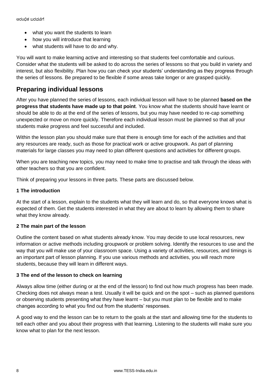- what you want the students to learn
- how you will introduce that learning
- what students will have to do and why.

You will want to make learning active and interesting so that students feel comfortable and curious. Consider what the students will be asked to do across the series of lessons so that you build in variety and interest, but also flexibility. Plan how you can check your students' understanding as they progress through the series of lessons. Be prepared to be flexible if some areas take longer or are grasped quickly.

#### **Preparing individual lessons**

After you have planned the series of lessons, each individual lesson will have to be planned **based on the progress that students have made up to that point**. You know what the students should have learnt or should be able to do at the end of the series of lessons, but you may have needed to re-cap something unexpected or move on more quickly. Therefore each individual lesson must be planned so that all your students make progress and feel successful and included.

Within the lesson plan you should make sure that there is enough time for each of the activities and that any resources are ready, such as those for practical work or active groupwork. As part of planning materials for large classes you may need to plan different questions and activities for different groups.

When you are teaching new topics, you may need to make time to practise and talk through the ideas with other teachers so that you are confident.

Think of preparing your lessons in three parts. These parts are discussed below.

#### **1 The introduction**

At the start of a lesson, explain to the students what they will learn and do, so that everyone knows what is expected of them. Get the students interested in what they are about to learn by allowing them to share what they know already.

#### **2 The main part of the lesson**

Outline the content based on what students already know. You may decide to use local resources, new information or active methods including groupwork or problem solving. Identify the resources to use and the way that you will make use of your classroom space. Using a variety of activities, resources, and timings is an important part of lesson planning. If you use various methods and activities, you will reach more students, because they will learn in different ways.

#### **3 The end of the lesson to check on learning**

Always allow time (either during or at the end of the lesson) to find out how much progress has been made. Checking does not always mean a test. Usually it will be quick and on the spot – such as planned questions or observing students presenting what they have learnt – but you must plan to be flexible and to make changes according to what you find out from the students' responses.

A good way to end the lesson can be to return to the goals at the start and allowing time for the students to tell each other and you about their progress with that learning. Listening to the students will make sure you know what to plan for the next lesson.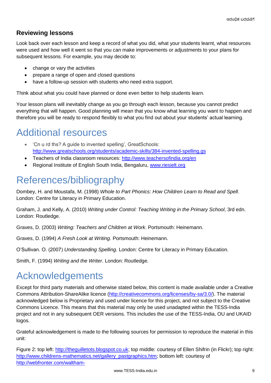#### **Reviewing lessons**

Look back over each lesson and keep a record of what you did, what your students learnt, what resources were used and how well it went so that you can make improvements or adjustments to your plans for subsequent lessons. For example, you may decide to:

- change or vary the activities
- prepare a range of open and closed questions
- have a follow-up session with students who need extra support.

Think about what you could have planned or done even better to help students learn.

Your lesson plans will inevitably change as you go through each lesson, because you cannot predict everything that will happen. Good planning will mean that you know what learning you want to happen and therefore you will be ready to respond flexibly to what you find out about your students' actual learning.

# Additional resources

- 'Cn u rd ths? A guide to invented spelling', GreatSchools: <http://www.greatschools.org/students/academic-skills/384-invented-spelling.gs>
- Teachers of India classroom resources:<http://www.teachersofindia.org/en>
- Regional Institute of English South India, Bengaluru, [www.riesielt.org](http://www.riesielt.org/)

# References/bibliography

Dombey, H. and Moustafa, M. (1998) *Whole to Part Phonics: How Children Learn to Read and Spell*. London: Centre for Literacy in Primary Education.

Graham, J. and Kelly, A. (2010) *Writing under Control: Teaching Writing in the Primary School*, 3rd edn. London: Routledge.

Graves, D. (2003) *Writing: Teachers and Children at Work*. Portsmouth: Heinemann.

Graves, D. (1994) *A Fresh Look at Writing*. Portsmouth: Heinemann.

O'Sullivan. O. (2007) *Understanding Spelling*. London: Centre for Literacy in Primary Education.

Smith, F. (1994) *Writing and the Writer*. London: Routledge.

### Acknowledgements

Except for third party materials and otherwise stated below, this content is made available under a Creative Commons Attribution-ShareAlike licence [\(http://creativecommons.org/licenses/by-sa/3.0/\)](http://creativecommons.org/licenses/by-sa/3.0/). The material acknowledged below is Proprietary and used under licence for this project, and not subject to the Creative Commons Licence. This means that this material may only be used unadapted within the TESS-India project and not in any subsequent OER versions. This includes the use of the TESS-India, OU and UKAID logos.

Grateful acknowledgement is made to the following sources for permission to reproduce the material in this unit:

Figure 2: top left: [http://theguilletots.blogspot.co.uk;](http://theguilletots.blogspot.co.uk/) top middle: courtesy of Ellen Shifrin (in Flickr); top right: [http://www.childrens-mathematics.net/gallery\\_pastgraphics.htm;](http://www.childrens-mathematics.net/gallery_pastgraphics.htm) bottom left: courtesy of [http://webfronter.com/waltham-](http://webfronter.com/waltham-forest/stoneydown/menu6/Early_Years_Foundation_Stage/Early_Years_Foundation_Stage_Page.html)